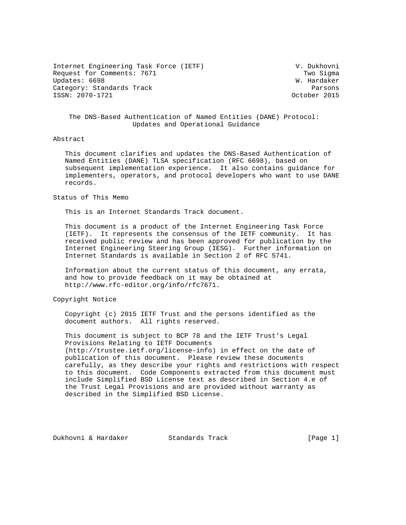Internet Engineering Task Force (IETF) V. Dukhovni Request for Comments: 7671 Two Sigma Updates: 6698 W. Hardaker Category: Standards Track Parsons Parsons Parsons Parsons Parsons Parsons Parsons Parsons Parsons Parsons Parsons Parsons Parsons Parsons Parsons Parsons Parsons Parsons Parsons Parsons Parsons Parsons Parsons Parsons Pars ISSN: 2070-1721

# The DNS-Based Authentication of Named Entities (DANE) Protocol: Updates and Operational Guidance

### Abstract

 This document clarifies and updates the DNS-Based Authentication of Named Entities (DANE) TLSA specification (RFC 6698), based on subsequent implementation experience. It also contains guidance for implementers, operators, and protocol developers who want to use DANE records.

Status of This Memo

This is an Internet Standards Track document.

 This document is a product of the Internet Engineering Task Force (IETF). It represents the consensus of the IETF community. It has received public review and has been approved for publication by the Internet Engineering Steering Group (IESG). Further information on Internet Standards is available in Section 2 of RFC 5741.

 Information about the current status of this document, any errata, and how to provide feedback on it may be obtained at http://www.rfc-editor.org/info/rfc7671.

Copyright Notice

 Copyright (c) 2015 IETF Trust and the persons identified as the document authors. All rights reserved.

 This document is subject to BCP 78 and the IETF Trust's Legal Provisions Relating to IETF Documents (http://trustee.ietf.org/license-info) in effect on the date of publication of this document. Please review these documents carefully, as they describe your rights and restrictions with respect to this document. Code Components extracted from this document must include Simplified BSD License text as described in Section 4.e of the Trust Legal Provisions and are provided without warranty as described in the Simplified BSD License.

Dukhovni & Hardaker Standards Track [Page 1]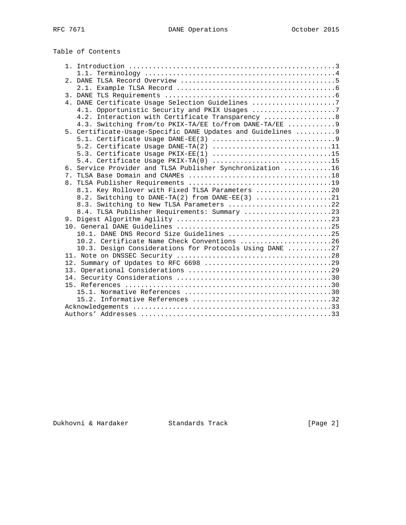| Table of Contents |  |  |  |
|-------------------|--|--|--|
|-------------------|--|--|--|

|  | 4. DANE Certificate Usage Selection Guidelines 7             |
|--|--------------------------------------------------------------|
|  | 4.1. Opportunistic Security and PKIX Usages 7                |
|  | 4.2. Interaction with Certificate Transparency  8            |
|  | 4.3. Switching from/to PKIX-TA/EE to/from DANE-TA/EE  9      |
|  | 5. Certificate-Usage-Specific DANE Updates and Guidelines  9 |
|  |                                                              |
|  | 5.2. Certificate Usage DANE-TA(2) 11                         |
|  | 5.3. Certificate Usage PKIX-EE(1) 15                         |
|  | 5.4. Certificate Usage PKIX-TA(0) 15                         |
|  | 6. Service Provider and TLSA Publisher Synchronization 16    |
|  |                                                              |
|  |                                                              |
|  | 8.1. Key Rollover with Fixed TLSA Parameters 20              |
|  | 8.2. Switching to DANE-TA(2) from DANE-EE(3) 21              |
|  | 8.3. Switching to New TLSA Parameters 22                     |
|  | 8.4. TLSA Publisher Requirements: Summary 23                 |
|  |                                                              |
|  |                                                              |
|  | 10.1. DANE DNS Record Size Guidelines 25                     |
|  | 10.2. Certificate Name Check Conventions 26                  |
|  | 10.3. Design Considerations for Protocols Using DANE 27      |
|  |                                                              |
|  |                                                              |
|  |                                                              |
|  |                                                              |
|  |                                                              |
|  |                                                              |
|  |                                                              |
|  |                                                              |
|  |                                                              |

# Dukhovni & Hardaker Standards Track [Page 2]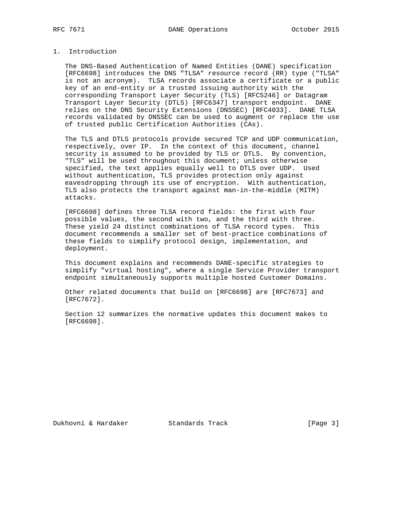# 1. Introduction

 The DNS-Based Authentication of Named Entities (DANE) specification [RFC6698] introduces the DNS "TLSA" resource record (RR) type ("TLSA" is not an acronym). TLSA records associate a certificate or a public key of an end-entity or a trusted issuing authority with the corresponding Transport Layer Security (TLS) [RFC5246] or Datagram Transport Layer Security (DTLS) [RFC6347] transport endpoint. DANE relies on the DNS Security Extensions (DNSSEC) [RFC4033]. DANE TLSA records validated by DNSSEC can be used to augment or replace the use of trusted public Certification Authorities (CAs).

 The TLS and DTLS protocols provide secured TCP and UDP communication, respectively, over IP. In the context of this document, channel security is assumed to be provided by TLS or DTLS. By convention, "TLS" will be used throughout this document; unless otherwise specified, the text applies equally well to DTLS over UDP. Used without authentication, TLS provides protection only against eavesdropping through its use of encryption. With authentication, TLS also protects the transport against man-in-the-middle (MITM) attacks.

 [RFC6698] defines three TLSA record fields: the first with four possible values, the second with two, and the third with three. These yield 24 distinct combinations of TLSA record types. This document recommends a smaller set of best-practice combinations of these fields to simplify protocol design, implementation, and deployment.

 This document explains and recommends DANE-specific strategies to simplify "virtual hosting", where a single Service Provider transport endpoint simultaneously supports multiple hosted Customer Domains.

 Other related documents that build on [RFC6698] are [RFC7673] and [RFC7672].

 Section 12 summarizes the normative updates this document makes to [RFC6698].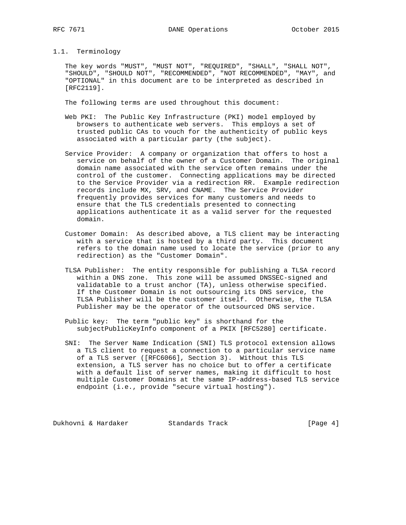## 1.1. Terminology

 The key words "MUST", "MUST NOT", "REQUIRED", "SHALL", "SHALL NOT", "SHOULD", "SHOULD NOT", "RECOMMENDED", "NOT RECOMMENDED", "MAY", and "OPTIONAL" in this document are to be interpreted as described in [RFC2119].

The following terms are used throughout this document:

- Web PKI: The Public Key Infrastructure (PKI) model employed by browsers to authenticate web servers. This employs a set of trusted public CAs to vouch for the authenticity of public keys associated with a particular party (the subject).
- Service Provider: A company or organization that offers to host a service on behalf of the owner of a Customer Domain. The original domain name associated with the service often remains under the control of the customer. Connecting applications may be directed to the Service Provider via a redirection RR. Example redirection records include MX, SRV, and CNAME. The Service Provider frequently provides services for many customers and needs to ensure that the TLS credentials presented to connecting applications authenticate it as a valid server for the requested domain.
- Customer Domain: As described above, a TLS client may be interacting with a service that is hosted by a third party. This document refers to the domain name used to locate the service (prior to any redirection) as the "Customer Domain".
- TLSA Publisher: The entity responsible for publishing a TLSA record within a DNS zone. This zone will be assumed DNSSEC-signed and validatable to a trust anchor (TA), unless otherwise specified. If the Customer Domain is not outsourcing its DNS service, the TLSA Publisher will be the customer itself. Otherwise, the TLSA Publisher may be the operator of the outsourced DNS service.
- Public key: The term "public key" is shorthand for the subjectPublicKeyInfo component of a PKIX [RFC5280] certificate.
- SNI: The Server Name Indication (SNI) TLS protocol extension allows a TLS client to request a connection to a particular service name of a TLS server ([RFC6066], Section 3). Without this TLS extension, a TLS server has no choice but to offer a certificate with a default list of server names, making it difficult to host multiple Customer Domains at the same IP-address-based TLS service endpoint (i.e., provide "secure virtual hosting").

Dukhovni & Hardaker Standards Track [Page 4]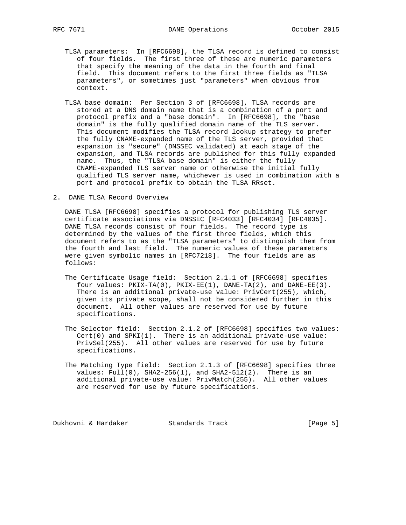- TLSA parameters: In [RFC6698], the TLSA record is defined to consist of four fields. The first three of these are numeric parameters that specify the meaning of the data in the fourth and final field. This document refers to the first three fields as "TLSA parameters", or sometimes just "parameters" when obvious from context.
- TLSA base domain: Per Section 3 of [RFC6698], TLSA records are stored at a DNS domain name that is a combination of a port and protocol prefix and a "base domain". In [RFC6698], the "base domain" is the fully qualified domain name of the TLS server. This document modifies the TLSA record lookup strategy to prefer the fully CNAME-expanded name of the TLS server, provided that expansion is "secure" (DNSSEC validated) at each stage of the expansion, and TLSA records are published for this fully expanded name. Thus, the "TLSA base domain" is either the fully CNAME-expanded TLS server name or otherwise the initial fully qualified TLS server name, whichever is used in combination with a port and protocol prefix to obtain the TLSA RRset.
- 2. DANE TLSA Record Overview

 DANE TLSA [RFC6698] specifies a protocol for publishing TLS server certificate associations via DNSSEC [RFC4033] [RFC4034] [RFC4035]. DANE TLSA records consist of four fields. The record type is determined by the values of the first three fields, which this document refers to as the "TLSA parameters" to distinguish them from the fourth and last field. The numeric values of these parameters were given symbolic names in [RFC7218]. The four fields are as follows:

- The Certificate Usage field: Section 2.1.1 of [RFC6698] specifies four values:  $PKIX-TA(0)$ ,  $PKIX-EE(1)$ ,  $DANE-TA(2)$ , and  $DANE-EE(3)$ . There is an additional private-use value: PrivCert(255), which, given its private scope, shall not be considered further in this document. All other values are reserved for use by future specifications.
- The Selector field: Section 2.1.2 of [RFC6698] specifies two values:  $Cert(0)$  and  $SPKI(1)$ . There is an additional private-use value: PrivSel(255). All other values are reserved for use by future specifications.
- The Matching Type field: Section 2.1.3 of [RFC6698] specifies three values:  $Full(0)$ ,  $SHA2-256(1)$ , and  $SHA2-512(2)$ . There is an additional private-use value: PrivMatch(255). All other values are reserved for use by future specifications.

Dukhovni & Hardaker Standards Track [Page 5]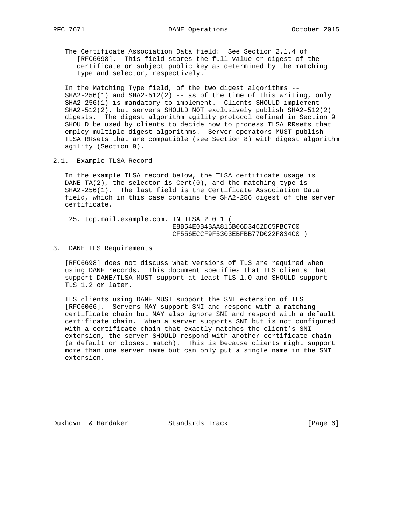The Certificate Association Data field: See Section 2.1.4 of [RFC6698]. This field stores the full value or digest of the certificate or subject public key as determined by the matching type and selector, respectively.

 In the Matching Type field, of the two digest algorithms --  $SHA2-256(1)$  and  $SHA2-512(2)$  -- as of the time of this writing, only SHA2-256(1) is mandatory to implement. Clients SHOULD implement SHA2-512(2), but servers SHOULD NOT exclusively publish SHA2-512(2) digests. The digest algorithm agility protocol defined in Section 9 SHOULD be used by clients to decide how to process TLSA RRsets that employ multiple digest algorithms. Server operators MUST publish TLSA RRsets that are compatible (see Section 8) with digest algorithm agility (Section 9).

2.1. Example TLSA Record

 In the example TLSA record below, the TLSA certificate usage is DANE-TA(2), the selector is Cert(0), and the matching type is SHA2-256(1). The last field is the Certificate Association Data field, which in this case contains the SHA2-256 digest of the server certificate.

 \_25.\_tcp.mail.example.com. IN TLSA 2 0 1 ( E8B54E0B4BAA815B06D3462D65FBC7C0 CF556ECCF9F5303EBFBB77D022F834C0 )

3. DANE TLS Requirements

 [RFC6698] does not discuss what versions of TLS are required when using DANE records. This document specifies that TLS clients that support DANE/TLSA MUST support at least TLS 1.0 and SHOULD support TLS 1.2 or later.

 TLS clients using DANE MUST support the SNI extension of TLS [RFC6066]. Servers MAY support SNI and respond with a matching certificate chain but MAY also ignore SNI and respond with a default certificate chain. When a server supports SNI but is not configured with a certificate chain that exactly matches the client's SNI extension, the server SHOULD respond with another certificate chain (a default or closest match). This is because clients might support more than one server name but can only put a single name in the SNI extension.

Dukhovni & Hardaker Standards Track [Page 6]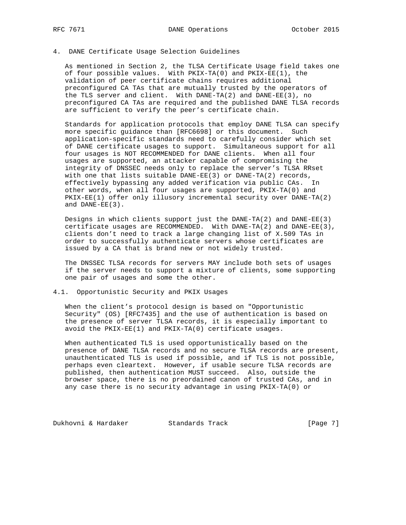## 4. DANE Certificate Usage Selection Guidelines

 As mentioned in Section 2, the TLSA Certificate Usage field takes one of four possible values. With PKIX-TA(0) and PKIX-EE(1), the validation of peer certificate chains requires additional preconfigured CA TAs that are mutually trusted by the operators of the TLS server and client. With DANE-TA(2) and DANE-EE(3), no preconfigured CA TAs are required and the published DANE TLSA records are sufficient to verify the peer's certificate chain.

 Standards for application protocols that employ DANE TLSA can specify more specific guidance than [RFC6698] or this document. Such application-specific standards need to carefully consider which set of DANE certificate usages to support. Simultaneous support for all four usages is NOT RECOMMENDED for DANE clients. When all four usages are supported, an attacker capable of compromising the integrity of DNSSEC needs only to replace the server's TLSA RRset with one that lists suitable DANE-EE(3) or DANE-TA(2) records, effectively bypassing any added verification via public CAs. In other words, when all four usages are supported, PKIX-TA(0) and PKIX-EE(1) offer only illusory incremental security over DANE-TA(2) and DANE-EE(3).

 Designs in which clients support just the DANE-TA(2) and DANE-EE(3) certificate usages are RECOMMENDED. With DANE-TA(2) and DANE-EE(3), clients don't need to track a large changing list of X.509 TAs in order to successfully authenticate servers whose certificates are issued by a CA that is brand new or not widely trusted.

 The DNSSEC TLSA records for servers MAY include both sets of usages if the server needs to support a mixture of clients, some supporting one pair of usages and some the other.

## 4.1. Opportunistic Security and PKIX Usages

 When the client's protocol design is based on "Opportunistic Security" (OS) [RFC7435] and the use of authentication is based on the presence of server TLSA records, it is especially important to avoid the PKIX-EE(1) and PKIX-TA(0) certificate usages.

 When authenticated TLS is used opportunistically based on the presence of DANE TLSA records and no secure TLSA records are present, unauthenticated TLS is used if possible, and if TLS is not possible, perhaps even cleartext. However, if usable secure TLSA records are published, then authentication MUST succeed. Also, outside the browser space, there is no preordained canon of trusted CAs, and in any case there is no security advantage in using PKIX-TA(0) or

Dukhovni & Hardaker Standards Track [Page 7]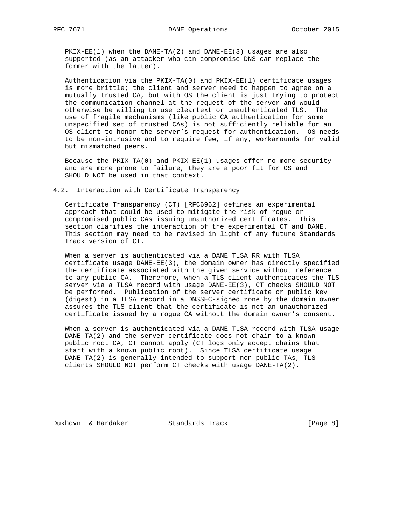PKIX-EE(1) when the DANE-TA(2) and DANE-EE(3) usages are also supported (as an attacker who can compromise DNS can replace the former with the latter).

 Authentication via the PKIX-TA(0) and PKIX-EE(1) certificate usages is more brittle; the client and server need to happen to agree on a mutually trusted CA, but with OS the client is just trying to protect the communication channel at the request of the server and would otherwise be willing to use cleartext or unauthenticated TLS. The use of fragile mechanisms (like public CA authentication for some unspecified set of trusted CAs) is not sufficiently reliable for an OS client to honor the server's request for authentication. OS needs to be non-intrusive and to require few, if any, workarounds for valid but mismatched peers.

 Because the PKIX-TA(0) and PKIX-EE(1) usages offer no more security and are more prone to failure, they are a poor fit for OS and SHOULD NOT be used in that context.

4.2. Interaction with Certificate Transparency

 Certificate Transparency (CT) [RFC6962] defines an experimental approach that could be used to mitigate the risk of rogue or compromised public CAs issuing unauthorized certificates. This section clarifies the interaction of the experimental CT and DANE. This section may need to be revised in light of any future Standards Track version of CT.

When a server is authenticated via a DANE TLSA RR with TLSA certificate usage DANE-EE(3), the domain owner has directly specified the certificate associated with the given service without reference to any public CA. Therefore, when a TLS client authenticates the TLS server via a TLSA record with usage DANE-EE(3), CT checks SHOULD NOT be performed. Publication of the server certificate or public key (digest) in a TLSA record in a DNSSEC-signed zone by the domain owner assures the TLS client that the certificate is not an unauthorized certificate issued by a rogue CA without the domain owner's consent.

 When a server is authenticated via a DANE TLSA record with TLSA usage DANE-TA(2) and the server certificate does not chain to a known public root CA, CT cannot apply (CT logs only accept chains that start with a known public root). Since TLSA certificate usage DANE-TA(2) is generally intended to support non-public TAs, TLS clients SHOULD NOT perform CT checks with usage DANE-TA(2).

Dukhovni & Hardaker Standards Track [Page 8]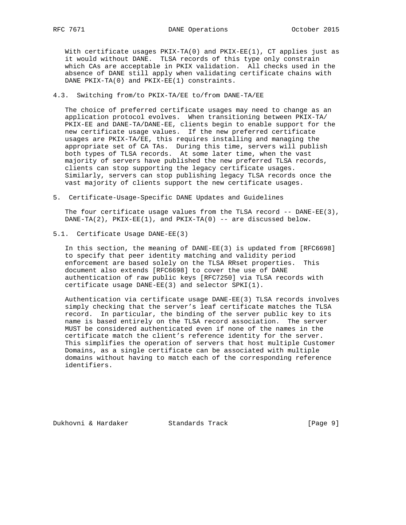With certificate usages PKIX-TA(0) and PKIX-EE(1), CT applies just as it would without DANE. TLSA records of this type only constrain which CAs are acceptable in PKIX validation. All checks used in the absence of DANE still apply when validating certificate chains with DANE PKIX-TA(0) and PKIX-EE(1) constraints.

## 4.3. Switching from/to PKIX-TA/EE to/from DANE-TA/EE

 The choice of preferred certificate usages may need to change as an application protocol evolves. When transitioning between PKIX-TA/ PKIX-EE and DANE-TA/DANE-EE, clients begin to enable support for the new certificate usage values. If the new preferred certificate usages are PKIX-TA/EE, this requires installing and managing the appropriate set of CA TAs. During this time, servers will publish both types of TLSA records. At some later time, when the vast majority of servers have published the new preferred TLSA records, clients can stop supporting the legacy certificate usages. Similarly, servers can stop publishing legacy TLSA records once the vast majority of clients support the new certificate usages.

5. Certificate-Usage-Specific DANE Updates and Guidelines

The four certificate usage values from the TLSA record -- DANE-EE(3),  $DANE-TA(2)$ ,  $PKIX-EE(1)$ , and  $PKIX-TA(0)$  -- are discussed below.

5.1. Certificate Usage DANE-EE(3)

 In this section, the meaning of DANE-EE(3) is updated from [RFC6698] to specify that peer identity matching and validity period enforcement are based solely on the TLSA RRset properties. This document also extends [RFC6698] to cover the use of DANE authentication of raw public keys [RFC7250] via TLSA records with certificate usage DANE-EE(3) and selector SPKI(1).

 Authentication via certificate usage DANE-EE(3) TLSA records involves simply checking that the server's leaf certificate matches the TLSA record. In particular, the binding of the server public key to its name is based entirely on the TLSA record association. The server MUST be considered authenticated even if none of the names in the certificate match the client's reference identity for the server. This simplifies the operation of servers that host multiple Customer Domains, as a single certificate can be associated with multiple domains without having to match each of the corresponding reference identifiers.

Dukhovni & Hardaker Standards Track [Page 9]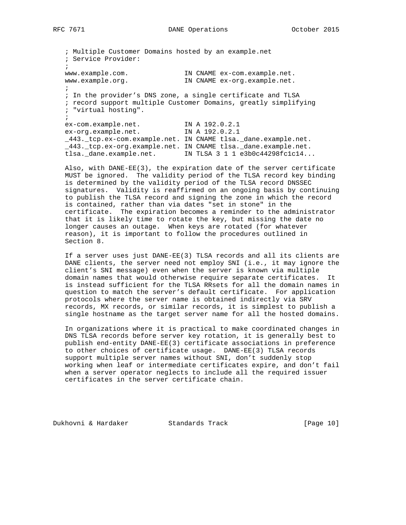; Multiple Customer Domains hosted by an example.net ; Service Provider:  $\mathcal{L}$  www.example.com. IN CNAME ex-com.example.net. www.example.org. IN CNAME ex-org.example.net. ; ; In the provider's DNS zone, a single certificate and TLSA ; record support multiple Customer Domains, greatly simplifying ; "virtual hosting".  $\mathcal{L}$  ex-com.example.net. IN A 192.0.2.1 ex-org.example.net. IN A 192.0.2.1 \_443.\_tcp.ex-com.example.net. IN CNAME tlsa.\_dane.example.net. \_443.\_tcp.ex-org.example.net. IN CNAME tlsa.\_dane.example.net. tlsa.\_dane.example.net. IN TLSA 3 1 1 e3b0c44298fc1c14...

 Also, with DANE-EE(3), the expiration date of the server certificate MUST be ignored. The validity period of the TLSA record key binding is determined by the validity period of the TLSA record DNSSEC signatures. Validity is reaffirmed on an ongoing basis by continuing to publish the TLSA record and signing the zone in which the record is contained, rather than via dates "set in stone" in the certificate. The expiration becomes a reminder to the administrator that it is likely time to rotate the key, but missing the date no longer causes an outage. When keys are rotated (for whatever reason), it is important to follow the procedures outlined in Section 8.

 If a server uses just DANE-EE(3) TLSA records and all its clients are DANE clients, the server need not employ SNI (i.e., it may ignore the client's SNI message) even when the server is known via multiple domain names that would otherwise require separate certificates. It is instead sufficient for the TLSA RRsets for all the domain names in question to match the server's default certificate. For application protocols where the server name is obtained indirectly via SRV records, MX records, or similar records, it is simplest to publish a single hostname as the target server name for all the hosted domains.

 In organizations where it is practical to make coordinated changes in DNS TLSA records before server key rotation, it is generally best to publish end-entity DANE-EE(3) certificate associations in preference to other choices of certificate usage. DANE-EE(3) TLSA records support multiple server names without SNI, don't suddenly stop working when leaf or intermediate certificates expire, and don't fail when a server operator neglects to include all the required issuer certificates in the server certificate chain.

Dukhovni & Hardaker Standards Track [Page 10]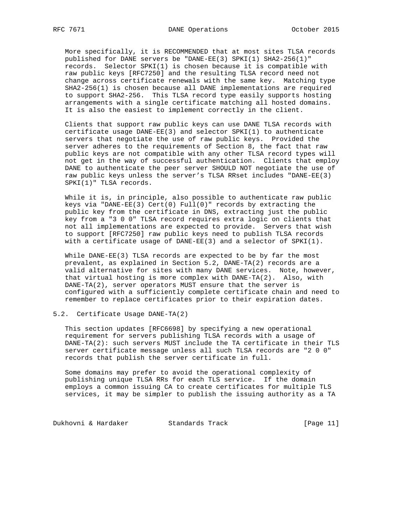More specifically, it is RECOMMENDED that at most sites TLSA records published for DANE servers be "DANE-EE(3) SPKI(1) SHA2-256(1)" records. Selector SPKI(1) is chosen because it is compatible with raw public keys [RFC7250] and the resulting TLSA record need not change across certificate renewals with the same key. Matching type SHA2-256(1) is chosen because all DANE implementations are required to support SHA2-256. This TLSA record type easily supports hosting arrangements with a single certificate matching all hosted domains. It is also the easiest to implement correctly in the client.

 Clients that support raw public keys can use DANE TLSA records with certificate usage DANE-EE(3) and selector SPKI(1) to authenticate servers that negotiate the use of raw public keys. Provided the server adheres to the requirements of Section 8, the fact that raw public keys are not compatible with any other TLSA record types will not get in the way of successful authentication. Clients that employ DANE to authenticate the peer server SHOULD NOT negotiate the use of raw public keys unless the server's TLSA RRset includes "DANE-EE(3) SPKI(1)" TLSA records.

 While it is, in principle, also possible to authenticate raw public keys via "DANE-EE(3) Cert(0) Full(0)" records by extracting the public key from the certificate in DNS, extracting just the public key from a "3 0 0" TLSA record requires extra logic on clients that not all implementations are expected to provide. Servers that wish to support [RFC7250] raw public keys need to publish TLSA records with a certificate usage of DANE-EE(3) and a selector of SPKI(1).

 While DANE-EE(3) TLSA records are expected to be by far the most prevalent, as explained in Section 5.2, DANE-TA(2) records are a valid alternative for sites with many DANE services. Note, however, that virtual hosting is more complex with DANE-TA(2). Also, with DANE-TA(2), server operators MUST ensure that the server is configured with a sufficiently complete certificate chain and need to remember to replace certificates prior to their expiration dates.

5.2. Certificate Usage DANE-TA(2)

 This section updates [RFC6698] by specifying a new operational requirement for servers publishing TLSA records with a usage of DANE-TA(2): such servers MUST include the TA certificate in their TLS server certificate message unless all such TLSA records are "2 0 0" records that publish the server certificate in full.

 Some domains may prefer to avoid the operational complexity of publishing unique TLSA RRs for each TLS service. If the domain employs a common issuing CA to create certificates for multiple TLS services, it may be simpler to publish the issuing authority as a TA

Dukhovni & Hardaker Standards Track [Page 11]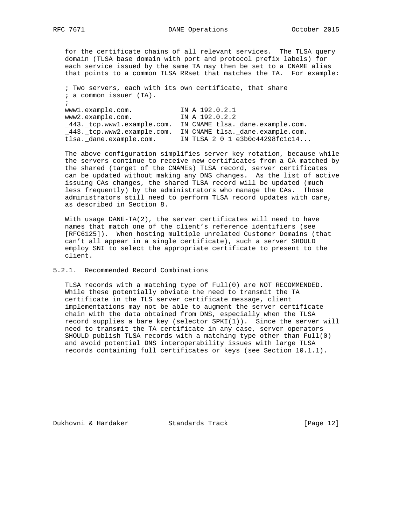for the certificate chains of all relevant services. The TLSA query domain (TLSA base domain with port and protocol prefix labels) for each service issued by the same TA may then be set to a CNAME alias that points to a common TLSA RRset that matches the TA. For example:

 ; Two servers, each with its own certificate, that share ; a common issuer (TA). ; www1.example.com. IN A 192.0.2.1 www2.example.com. IN A 192.0.2.2 \_443.\_tcp.www1.example.com. IN CNAME tlsa.\_dane.example.com. \_443.\_tcp.www2.example.com. IN CNAME tlsa.\_dane.example.com. tlsa.\_dane.example.com. IN TLSA 2 0 1 e3b0c44298fc1c14...

 The above configuration simplifies server key rotation, because while the servers continue to receive new certificates from a CA matched by the shared (target of the CNAMEs) TLSA record, server certificates can be updated without making any DNS changes. As the list of active issuing CAs changes, the shared TLSA record will be updated (much less frequently) by the administrators who manage the CAs. Those administrators still need to perform TLSA record updates with care, as described in Section 8.

With usage DANE-TA(2), the server certificates will need to have names that match one of the client's reference identifiers (see [RFC6125]). When hosting multiple unrelated Customer Domains (that can't all appear in a single certificate), such a server SHOULD employ SNI to select the appropriate certificate to present to the client.

### 5.2.1. Recommended Record Combinations

 TLSA records with a matching type of Full(0) are NOT RECOMMENDED. While these potentially obviate the need to transmit the TA certificate in the TLS server certificate message, client implementations may not be able to augment the server certificate chain with the data obtained from DNS, especially when the TLSA record supplies a bare key (selector SPKI(1)). Since the server will need to transmit the TA certificate in any case, server operators SHOULD publish TLSA records with a matching type other than Full(0) and avoid potential DNS interoperability issues with large TLSA records containing full certificates or keys (see Section 10.1.1).

Dukhovni & Hardaker Standards Track [Page 12]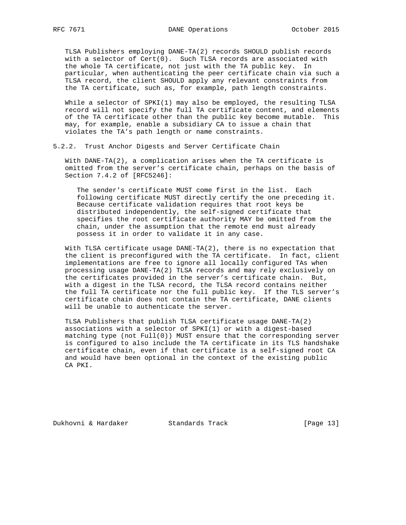TLSA Publishers employing DANE-TA(2) records SHOULD publish records with a selector of Cert(0). Such TLSA records are associated with the whole TA certificate, not just with the TA public key. In particular, when authenticating the peer certificate chain via such a TLSA record, the client SHOULD apply any relevant constraints from the TA certificate, such as, for example, path length constraints.

 While a selector of SPKI(1) may also be employed, the resulting TLSA record will not specify the full TA certificate content, and elements of the TA certificate other than the public key become mutable. This may, for example, enable a subsidiary CA to issue a chain that violates the TA's path length or name constraints.

5.2.2. Trust Anchor Digests and Server Certificate Chain

 With DANE-TA(2), a complication arises when the TA certificate is omitted from the server's certificate chain, perhaps on the basis of Section 7.4.2 of [RFC5246]:

 The sender's certificate MUST come first in the list. Each following certificate MUST directly certify the one preceding it. Because certificate validation requires that root keys be distributed independently, the self-signed certificate that specifies the root certificate authority MAY be omitted from the chain, under the assumption that the remote end must already possess it in order to validate it in any case.

 With TLSA certificate usage DANE-TA(2), there is no expectation that the client is preconfigured with the TA certificate. In fact, client implementations are free to ignore all locally configured TAs when processing usage DANE-TA(2) TLSA records and may rely exclusively on the certificates provided in the server's certificate chain. But, with a digest in the TLSA record, the TLSA record contains neither the full TA certificate nor the full public key. If the TLS server's certificate chain does not contain the TA certificate, DANE clients will be unable to authenticate the server.

 TLSA Publishers that publish TLSA certificate usage DANE-TA(2) associations with a selector of SPKI(1) or with a digest-based matching type (not Full(0)) MUST ensure that the corresponding server is configured to also include the TA certificate in its TLS handshake certificate chain, even if that certificate is a self-signed root CA and would have been optional in the context of the existing public CA PKI.

Dukhovni & Hardaker Standards Track [Page 13]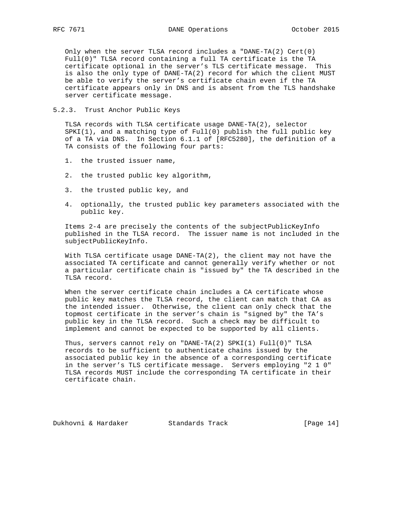Only when the server TLSA record includes a "DANE-TA(2) Cert(0) Full(0)" TLSA record containing a full TA certificate is the TA certificate optional in the server's TLS certificate message. This is also the only type of DANE-TA(2) record for which the client MUST be able to verify the server's certificate chain even if the TA certificate appears only in DNS and is absent from the TLS handshake server certificate message.

5.2.3. Trust Anchor Public Keys

 TLSA records with TLSA certificate usage DANE-TA(2), selector SPKI(1), and a matching type of Full(0) publish the full public key of a TA via DNS. In Section 6.1.1 of [RFC5280], the definition of a TA consists of the following four parts:

- 1. the trusted issuer name,
- 2. the trusted public key algorithm,
- 3. the trusted public key, and
- 4. optionally, the trusted public key parameters associated with the public key.

 Items 2-4 are precisely the contents of the subjectPublicKeyInfo published in the TLSA record. The issuer name is not included in the subjectPublicKeyInfo.

 With TLSA certificate usage DANE-TA(2), the client may not have the associated TA certificate and cannot generally verify whether or not a particular certificate chain is "issued by" the TA described in the TLSA record.

 When the server certificate chain includes a CA certificate whose public key matches the TLSA record, the client can match that CA as the intended issuer. Otherwise, the client can only check that the topmost certificate in the server's chain is "signed by" the TA's public key in the TLSA record. Such a check may be difficult to implement and cannot be expected to be supported by all clients.

 Thus, servers cannot rely on "DANE-TA(2) SPKI(1) Full(0)" TLSA records to be sufficient to authenticate chains issued by the associated public key in the absence of a corresponding certificate in the server's TLS certificate message. Servers employing "2 1 0" TLSA records MUST include the corresponding TA certificate in their certificate chain.

Dukhovni & Hardaker Standards Track [Page 14]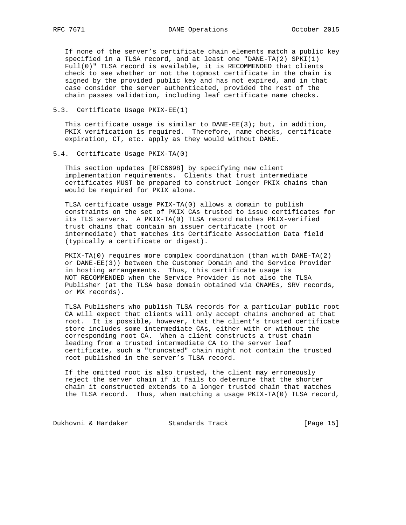If none of the server's certificate chain elements match a public key specified in a TLSA record, and at least one "DANE-TA(2) SPKI(1) Full(0)" TLSA record is available, it is RECOMMENDED that clients check to see whether or not the topmost certificate in the chain is signed by the provided public key and has not expired, and in that case consider the server authenticated, provided the rest of the chain passes validation, including leaf certificate name checks.

5.3. Certificate Usage PKIX-EE(1)

This certificate usage is similar to  $DANE-EE(3)$ ; but, in addition, PKIX verification is required. Therefore, name checks, certificate expiration, CT, etc. apply as they would without DANE.

5.4. Certificate Usage PKIX-TA(0)

 This section updates [RFC6698] by specifying new client implementation requirements. Clients that trust intermediate certificates MUST be prepared to construct longer PKIX chains than would be required for PKIX alone.

 TLSA certificate usage PKIX-TA(0) allows a domain to publish constraints on the set of PKIX CAs trusted to issue certificates for its TLS servers. A PKIX-TA(0) TLSA record matches PKIX-verified trust chains that contain an issuer certificate (root or intermediate) that matches its Certificate Association Data field (typically a certificate or digest).

 PKIX-TA(0) requires more complex coordination (than with DANE-TA(2) or DANE-EE(3)) between the Customer Domain and the Service Provider in hosting arrangements. Thus, this certificate usage is NOT RECOMMENDED when the Service Provider is not also the TLSA Publisher (at the TLSA base domain obtained via CNAMEs, SRV records, or MX records).

 TLSA Publishers who publish TLSA records for a particular public root CA will expect that clients will only accept chains anchored at that root. It is possible, however, that the client's trusted certificate store includes some intermediate CAs, either with or without the corresponding root CA. When a client constructs a trust chain leading from a trusted intermediate CA to the server leaf certificate, such a "truncated" chain might not contain the trusted root published in the server's TLSA record.

 If the omitted root is also trusted, the client may erroneously reject the server chain if it fails to determine that the shorter chain it constructed extends to a longer trusted chain that matches the TLSA record. Thus, when matching a usage PKIX-TA(0) TLSA record,

Dukhovni & Hardaker Standards Track [Page 15]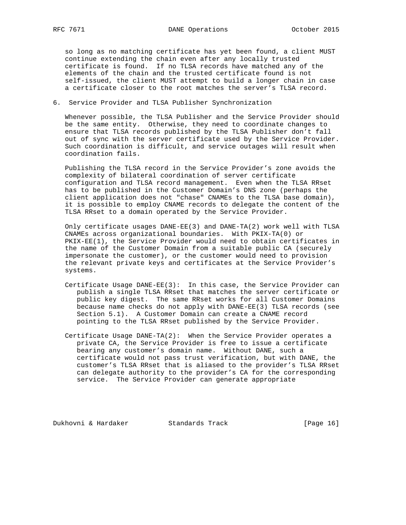so long as no matching certificate has yet been found, a client MUST continue extending the chain even after any locally trusted certificate is found. If no TLSA records have matched any of the elements of the chain and the trusted certificate found is not self-issued, the client MUST attempt to build a longer chain in case a certificate closer to the root matches the server's TLSA record.

## 6. Service Provider and TLSA Publisher Synchronization

 Whenever possible, the TLSA Publisher and the Service Provider should be the same entity. Otherwise, they need to coordinate changes to ensure that TLSA records published by the TLSA Publisher don't fall out of sync with the server certificate used by the Service Provider. Such coordination is difficult, and service outages will result when coordination fails.

 Publishing the TLSA record in the Service Provider's zone avoids the complexity of bilateral coordination of server certificate configuration and TLSA record management. Even when the TLSA RRset has to be published in the Customer Domain's DNS zone (perhaps the client application does not "chase" CNAMEs to the TLSA base domain), it is possible to employ CNAME records to delegate the content of the TLSA RRset to a domain operated by the Service Provider.

 Only certificate usages DANE-EE(3) and DANE-TA(2) work well with TLSA CNAMEs across organizational boundaries. With PKIX-TA(0) or PKIX-EE(1), the Service Provider would need to obtain certificates in the name of the Customer Domain from a suitable public CA (securely impersonate the customer), or the customer would need to provision the relevant private keys and certificates at the Service Provider's systems.

- Certificate Usage DANE-EE(3): In this case, the Service Provider can publish a single TLSA RRset that matches the server certificate or public key digest. The same RRset works for all Customer Domains because name checks do not apply with DANE-EE(3) TLSA records (see Section 5.1). A Customer Domain can create a CNAME record pointing to the TLSA RRset published by the Service Provider.
- Certificate Usage DANE-TA(2): When the Service Provider operates a private CA, the Service Provider is free to issue a certificate bearing any customer's domain name. Without DANE, such a certificate would not pass trust verification, but with DANE, the customer's TLSA RRset that is aliased to the provider's TLSA RRset can delegate authority to the provider's CA for the corresponding service. The Service Provider can generate appropriate

Dukhovni & Hardaker Standards Track [Page 16]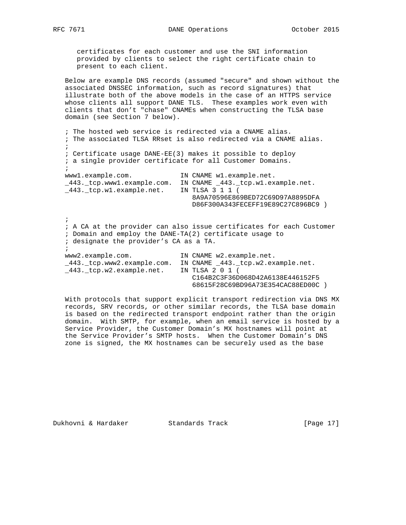certificates for each customer and use the SNI information provided by clients to select the right certificate chain to present to each client.

 Below are example DNS records (assumed "secure" and shown without the associated DNSSEC information, such as record signatures) that illustrate both of the above models in the case of an HTTPS service whose clients all support DANE TLS. These examples work even with clients that don't "chase" CNAMEs when constructing the TLSA base domain (see Section 7 below).

 ; The hosted web service is redirected via a CNAME alias. ; The associated TLSA RRset is also redirected via a CNAME alias.  $\mathcal{L}$  ; Certificate usage DANE-EE(3) makes it possible to deploy ; a single provider certificate for all Customer Domains.  $\mathcal{L}$  www1.example.com. IN CNAME w1.example.net. \_443.\_tcp.www1.example.com. IN CNAME \_443.\_tcp.w1.example.net. \_443.\_tcp.w1.example.net. IN TLSA 3 1 1 ( 8A9A70596E869BED72C69D97A8895DFA D86F300A343FECEFF19E89C27C896BC9 )  $\mathcal{L}$  ; A CA at the provider can also issue certificates for each Customer ; Domain and employ the DANE-TA(2) certificate usage to ; designate the provider's CA as a TA.  $\mathcal{L}$  www2.example.com. IN CNAME w2.example.net. \_443.\_tcp.www2.example.com. IN CNAME \_443.\_tcp.w2.example.net. \_443.\_tcp.w2.example.net. IN TLSA 2 0 1 ( C164B2C3F36D068D42A6138E446152F5 68615F28C69BD96A73E354CAC88ED00C )

 With protocols that support explicit transport redirection via DNS MX records, SRV records, or other similar records, the TLSA base domain is based on the redirected transport endpoint rather than the origin domain. With SMTP, for example, when an email service is hosted by a Service Provider, the Customer Domain's MX hostnames will point at the Service Provider's SMTP hosts. When the Customer Domain's DNS zone is signed, the MX hostnames can be securely used as the base

Dukhovni & Hardaker Standards Track [Page 17]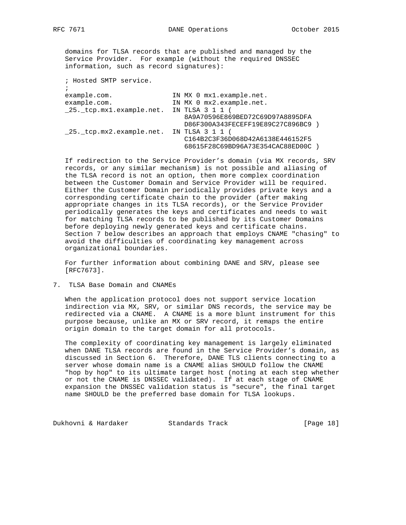domains for TLSA records that are published and managed by the Service Provider. For example (without the required DNSSEC information, such as record signatures):

| IN MX 0 mx1.example.net.                                              |
|-----------------------------------------------------------------------|
| IN MX 0 mx2.example.net.                                              |
| IN TLSA 3 1 1 (                                                       |
| 8A9A70596E869BED72C69D97A8895DFA<br>D86F300A343FECEFF19E89C27C896BC9) |
| IN TLSA 3 1 1 (                                                       |
| C164B2C3F36D068D42A6138E446152F5<br>68615F28C69BD96A73E354CAC88ED00C  |
|                                                                       |

 If redirection to the Service Provider's domain (via MX records, SRV records, or any similar mechanism) is not possible and aliasing of the TLSA record is not an option, then more complex coordination between the Customer Domain and Service Provider will be required. Either the Customer Domain periodically provides private keys and a corresponding certificate chain to the provider (after making appropriate changes in its TLSA records), or the Service Provider periodically generates the keys and certificates and needs to wait for matching TLSA records to be published by its Customer Domains before deploying newly generated keys and certificate chains. Section 7 below describes an approach that employs CNAME "chasing" to avoid the difficulties of coordinating key management across organizational boundaries.

 For further information about combining DANE and SRV, please see [RFC7673].

7. TLSA Base Domain and CNAMEs

 When the application protocol does not support service location indirection via MX, SRV, or similar DNS records, the service may be redirected via a CNAME. A CNAME is a more blunt instrument for this purpose because, unlike an MX or SRV record, it remaps the entire origin domain to the target domain for all protocols.

 The complexity of coordinating key management is largely eliminated when DANE TLSA records are found in the Service Provider's domain, as discussed in Section 6. Therefore, DANE TLS clients connecting to a server whose domain name is a CNAME alias SHOULD follow the CNAME "hop by hop" to its ultimate target host (noting at each step whether or not the CNAME is DNSSEC validated). If at each stage of CNAME expansion the DNSSEC validation status is "secure", the final target name SHOULD be the preferred base domain for TLSA lookups.

Dukhovni & Hardaker Standards Track [Page 18]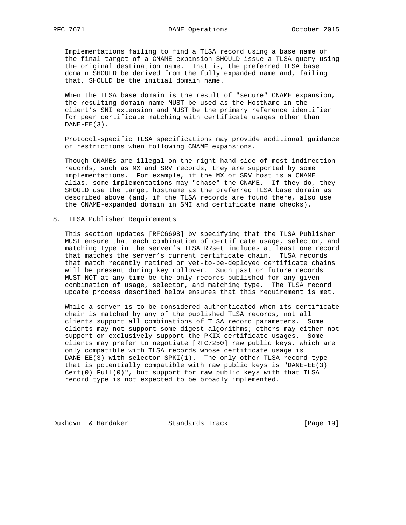Implementations failing to find a TLSA record using a base name of the final target of a CNAME expansion SHOULD issue a TLSA query using the original destination name. That is, the preferred TLSA base domain SHOULD be derived from the fully expanded name and, failing that, SHOULD be the initial domain name.

 When the TLSA base domain is the result of "secure" CNAME expansion, the resulting domain name MUST be used as the HostName in the client's SNI extension and MUST be the primary reference identifier for peer certificate matching with certificate usages other than  $DANE-EE(3)$ .

 Protocol-specific TLSA specifications may provide additional guidance or restrictions when following CNAME expansions.

 Though CNAMEs are illegal on the right-hand side of most indirection records, such as MX and SRV records, they are supported by some implementations. For example, if the MX or SRV host is a CNAME alias, some implementations may "chase" the CNAME. If they do, they SHOULD use the target hostname as the preferred TLSA base domain as described above (and, if the TLSA records are found there, also use the CNAME-expanded domain in SNI and certificate name checks).

#### 8. TLSA Publisher Requirements

 This section updates [RFC6698] by specifying that the TLSA Publisher MUST ensure that each combination of certificate usage, selector, and matching type in the server's TLSA RRset includes at least one record that matches the server's current certificate chain. TLSA records that match recently retired or yet-to-be-deployed certificate chains will be present during key rollover. Such past or future records MUST NOT at any time be the only records published for any given combination of usage, selector, and matching type. The TLSA record update process described below ensures that this requirement is met.

 While a server is to be considered authenticated when its certificate chain is matched by any of the published TLSA records, not all clients support all combinations of TLSA record parameters. Some clients may not support some digest algorithms; others may either not support or exclusively support the PKIX certificate usages. Some clients may prefer to negotiate [RFC7250] raw public keys, which are only compatible with TLSA records whose certificate usage is DANE-EE(3) with selector SPKI(1). The only other TLSA record type that is potentially compatible with raw public keys is "DANE-EE(3) Cert(0) Full(0)", but support for raw public keys with that TLSA record type is not expected to be broadly implemented.

Dukhovni & Hardaker Standards Track [Page 19]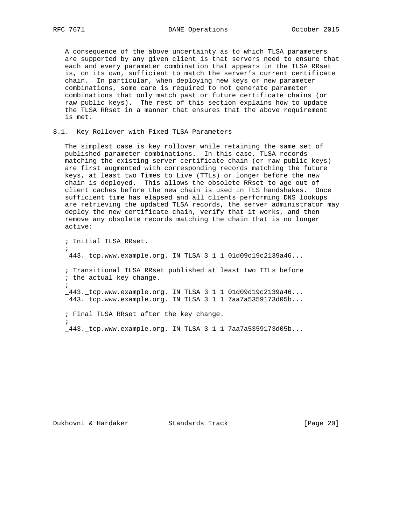A consequence of the above uncertainty as to which TLSA parameters are supported by any given client is that servers need to ensure that each and every parameter combination that appears in the TLSA RRset is, on its own, sufficient to match the server's current certificate chain. In particular, when deploying new keys or new parameter combinations, some care is required to not generate parameter combinations that only match past or future certificate chains (or raw public keys). The rest of this section explains how to update the TLSA RRset in a manner that ensures that the above requirement is met.

#### 8.1. Key Rollover with Fixed TLSA Parameters

 The simplest case is key rollover while retaining the same set of published parameter combinations. In this case, TLSA records matching the existing server certificate chain (or raw public keys) are first augmented with corresponding records matching the future keys, at least two Times to Live (TTLs) or longer before the new chain is deployed. This allows the obsolete RRset to age out of client caches before the new chain is used in TLS handshakes. Once sufficient time has elapsed and all clients performing DNS lookups are retrieving the updated TLSA records, the server administrator may deploy the new certificate chain, verify that it works, and then remove any obsolete records matching the chain that is no longer active:

; Initial TLSA RRset.

 $\mathcal{L}$ 

 $\mathcal{L}$ 

\_443.\_tcp.www.example.org. IN TLSA 3 1 1 01d09d19c2139a46...

 ; Transitional TLSA RRset published at least two TTLs before ; the actual key change.  $\mathcal{L}$ 

 \_443.\_tcp.www.example.org. IN TLSA 3 1 1 01d09d19c2139a46... \_443.\_tcp.www.example.org. IN TLSA 3 1 1 7aa7a5359173d05b...

; Final TLSA RRset after the key change.

\_443.\_tcp.www.example.org. IN TLSA 3 1 1 7aa7a5359173d05b...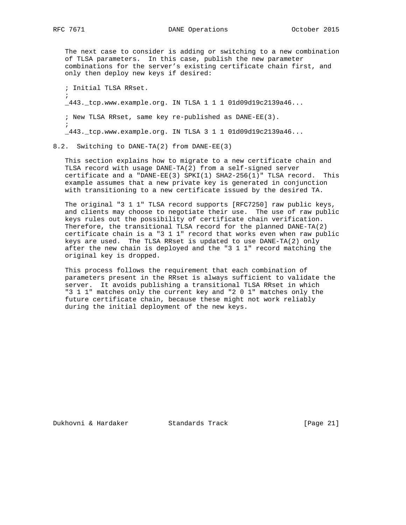$\mathcal{L}$ 

 The next case to consider is adding or switching to a new combination of TLSA parameters. In this case, publish the new parameter combinations for the server's existing certificate chain first, and only then deploy new keys if desired:

; Initial TLSA RRset.

\_443.\_tcp.www.example.org. IN TLSA 1 1 1 01d09d19c2139a46...

 ; New TLSA RRset, same key re-published as DANE-EE(3).  $\mathcal{L}$ 

\_443.\_tcp.www.example.org. IN TLSA 3 1 1 01d09d19c2139a46...

8.2. Switching to DANE-TA(2) from DANE-EE(3)

 This section explains how to migrate to a new certificate chain and TLSA record with usage DANE-TA(2) from a self-signed server certificate and a "DANE-EE(3) SPKI(1) SHA2-256(1)" TLSA record. This example assumes that a new private key is generated in conjunction with transitioning to a new certificate issued by the desired TA.

 The original "3 1 1" TLSA record supports [RFC7250] raw public keys, and clients may choose to negotiate their use. The use of raw public keys rules out the possibility of certificate chain verification. Therefore, the transitional TLSA record for the planned DANE-TA(2) certificate chain is a "3 1 1" record that works even when raw public keys are used. The TLSA RRset is updated to use DANE-TA(2) only after the new chain is deployed and the "3 1 1" record matching the original key is dropped.

 This process follows the requirement that each combination of parameters present in the RRset is always sufficient to validate the server. It avoids publishing a transitional TLSA RRset in which "3 1 1" matches only the current key and "2 0 1" matches only the future certificate chain, because these might not work reliably during the initial deployment of the new keys.

Dukhovni & Hardaker Standards Track [Page 21]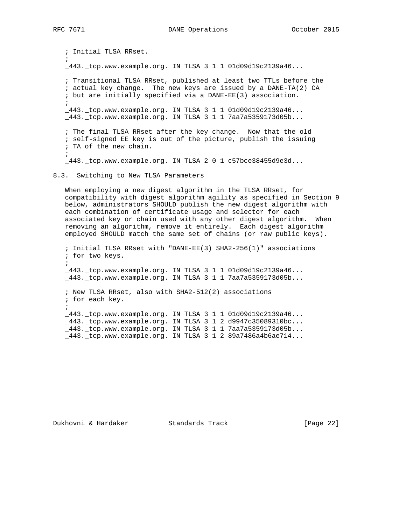; Initial TLSA RRset.  $\mathcal{L}$  \_443.\_tcp.www.example.org. IN TLSA 3 1 1 01d09d19c2139a46... ; Transitional TLSA RRset, published at least two TTLs before the ; actual key change. The new keys are issued by a DANE-TA(2) CA ; but are initially specified via a DANE-EE(3) association.  $\mathcal{L}$  $\_443.$   $\_top.$  www.example.org. IN TLSA 3 1 1 01d09d19c2139a46... \_443.\_tcp.www.example.org. IN TLSA 3 1 1 7aa7a5359173d05b... ; The final TLSA RRset after the key change. Now that the old ; self-signed EE key is out of the picture, publish the issuing ; TA of the new chain.  $\mathcal{L}$  \_443.\_tcp.www.example.org. IN TLSA 2 0 1 c57bce38455d9e3d... 8.3. Switching to New TLSA Parameters When employing a new digest algorithm in the TLSA RRset, for compatibility with digest algorithm agility as specified in Section 9 below, administrators SHOULD publish the new digest algorithm with each combination of certificate usage and selector for each associated key or chain used with any other digest algorithm. When removing an algorithm, remove it entirely. Each digest algorithm employed SHOULD match the same set of chains (or raw public keys). ; Initial TLSA RRset with "DANE-EE(3) SHA2-256(1)" associations

 ; for two keys.  $\mathcal{L}$  \_443.\_tcp.www.example.org. IN TLSA 3 1 1 01d09d19c2139a46... \_443.\_tcp.www.example.org. IN TLSA 3 1 1 7aa7a5359173d05b... ; New TLSA RRset, also with SHA2-512(2) associations ; for each key.  $\mathcal{L}$  \_443.\_tcp.www.example.org. IN TLSA 3 1 1 01d09d19c2139a46... \_443.\_tcp.www.example.org. IN TLSA 3 1 2 d9947c35089310bc... \_443.\_tcp.www.example.org. IN TLSA 3 1 1 7aa7a5359173d05b... \_443.\_tcp.www.example.org. IN TLSA 3 1 2 89a7486a4b6ae714...

# Dukhovni & Hardaker Standards Track [Page 22]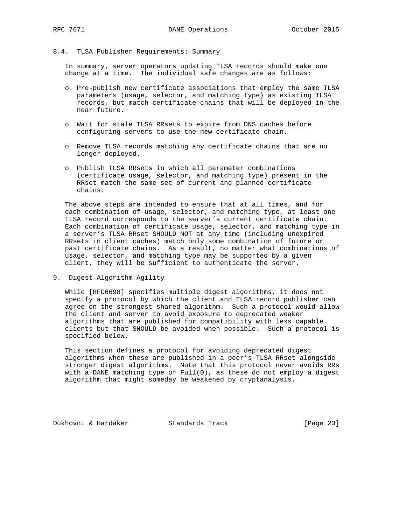#### 8.4. TLSA Publisher Requirements: Summary

 In summary, server operators updating TLSA records should make one change at a time. The individual safe changes are as follows:

- o Pre-publish new certificate associations that employ the same TLSA parameters (usage, selector, and matching type) as existing TLSA records, but match certificate chains that will be deployed in the near future.
- o Wait for stale TLSA RRsets to expire from DNS caches before configuring servers to use the new certificate chain.
- o Remove TLSA records matching any certificate chains that are no longer deployed.
- o Publish TLSA RRsets in which all parameter combinations (certificate usage, selector, and matching type) present in the RRset match the same set of current and planned certificate chains.

 The above steps are intended to ensure that at all times, and for each combination of usage, selector, and matching type, at least one TLSA record corresponds to the server's current certificate chain. Each combination of certificate usage, selector, and matching type in a server's TLSA RRset SHOULD NOT at any time (including unexpired RRsets in client caches) match only some combination of future or past certificate chains. As a result, no matter what combinations of usage, selector, and matching type may be supported by a given client, they will be sufficient to authenticate the server.

9. Digest Algorithm Agility

 While [RFC6698] specifies multiple digest algorithms, it does not specify a protocol by which the client and TLSA record publisher can agree on the strongest shared algorithm. Such a protocol would allow the client and server to avoid exposure to deprecated weaker algorithms that are published for compatibility with less capable clients but that SHOULD be avoided when possible. Such a protocol is specified below.

 This section defines a protocol for avoiding deprecated digest algorithms when these are published in a peer's TLSA RRset alongside stronger digest algorithms. Note that this protocol never avoids RRs with a DANE matching type of  $Full(0)$ , as these do not employ a digest algorithm that might someday be weakened by cryptanalysis.

Dukhovni & Hardaker Standards Track [Page 23]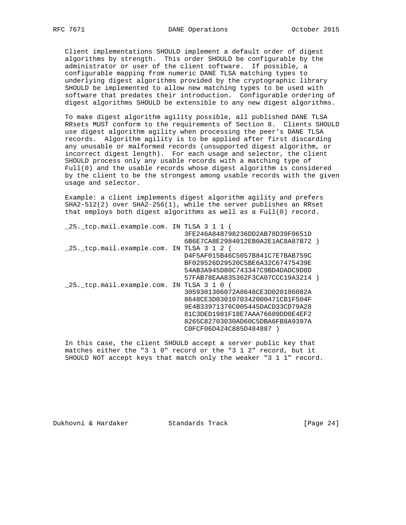Client implementations SHOULD implement a default order of digest algorithms by strength. This order SHOULD be configurable by the administrator or user of the client software. If possible, a configurable mapping from numeric DANE TLSA matching types to underlying digest algorithms provided by the cryptographic library SHOULD be implemented to allow new matching types to be used with software that predates their introduction. Configurable ordering of digest algorithms SHOULD be extensible to any new digest algorithms.

 To make digest algorithm agility possible, all published DANE TLSA RRsets MUST conform to the requirements of Section 8. Clients SHOULD use digest algorithm agility when processing the peer's DANE TLSA records. Algorithm agility is to be applied after first discarding any unusable or malformed records (unsupported digest algorithm, or incorrect digest length). For each usage and selector, the client SHOULD process only any usable records with a matching type of Full(0) and the usable records whose digest algorithm is considered by the client to be the strongest among usable records with the given usage and selector.

 Example: a client implements digest algorithm agility and prefers SHA2-512(2) over SHA2-256(1), while the server publishes an RRset that employs both digest algorithms as well as a Full(0) record.

| 25. tcp.mail.example.com. IN TLSA 3 1 1 ( |                                   |  |
|-------------------------------------------|-----------------------------------|--|
|                                           | 3FE246A848798236DD2AB78D39F0651D  |  |
|                                           | 6B6E7CA8E2984012EB0A2E1AC8A87B72) |  |
| 25. tcp.mail.example.com. IN TLSA 3 1 2 ( |                                   |  |
|                                           | D4F5AF015B46C5057B841C7E7BAB759C  |  |
|                                           | BF029526D29520C5BE6A32C67475439E  |  |
|                                           | 54AB3A945D80C743347C9BD4DADC9D8D  |  |
|                                           | 57FAB78EAA835362F3CA07CCC19A3214) |  |
| 25. tcp.mail.example.com. IN TLSA 3 1 0   |                                   |  |
|                                           | 3059301306072A8648CE3D020106082A  |  |
|                                           | 8648CE3D0301070342000471CB1F504F  |  |
|                                           | 9E4B33971376C005445DACD33CD79A28  |  |
|                                           | 81C3DED1981F18E7AAA76609DD0E4EF2  |  |
|                                           | 8265C82703030AD60C5DBA6FB8A9397A  |  |
|                                           | C0FCF06D424C885D484887            |  |

 In this case, the client SHOULD accept a server public key that matches either the "3 1 0" record or the "3 1 2" record, but it SHOULD NOT accept keys that match only the weaker "3 1 1" record.

Dukhovni & Hardaker Standards Track [Page 24]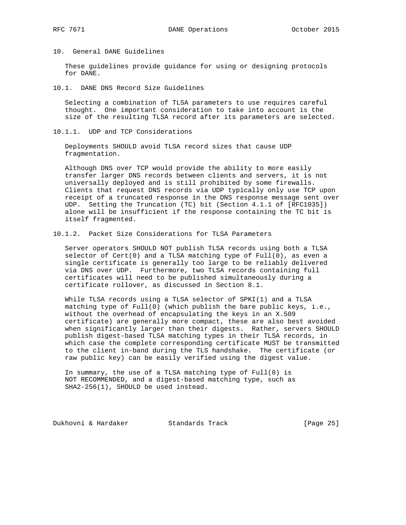10. General DANE Guidelines

 These guidelines provide guidance for using or designing protocols for DANE.

10.1. DANE DNS Record Size Guidelines

 Selecting a combination of TLSA parameters to use requires careful thought. One important consideration to take into account is the size of the resulting TLSA record after its parameters are selected.

10.1.1. UDP and TCP Considerations

 Deployments SHOULD avoid TLSA record sizes that cause UDP fragmentation.

 Although DNS over TCP would provide the ability to more easily transfer larger DNS records between clients and servers, it is not universally deployed and is still prohibited by some firewalls. Clients that request DNS records via UDP typically only use TCP upon receipt of a truncated response in the DNS response message sent over UDP. Setting the Truncation (TC) bit (Section 4.1.1 of [RFC1035]) alone will be insufficient if the response containing the TC bit is itself fragmented.

10.1.2. Packet Size Considerations for TLSA Parameters

 Server operators SHOULD NOT publish TLSA records using both a TLSA selector of Cert(0) and a TLSA matching type of Full(0), as even a single certificate is generally too large to be reliably delivered via DNS over UDP. Furthermore, two TLSA records containing full certificates will need to be published simultaneously during a certificate rollover, as discussed in Section 8.1.

While TLSA records using a TLSA selector of SPKI(1) and a TLSA matching type of Full(0) (which publish the bare public keys, i.e., without the overhead of encapsulating the keys in an X.509 certificate) are generally more compact, these are also best avoided when significantly larger than their digests. Rather, servers SHOULD publish digest-based TLSA matching types in their TLSA records, in which case the complete corresponding certificate MUST be transmitted to the client in-band during the TLS handshake. The certificate (or raw public key) can be easily verified using the digest value.

 In summary, the use of a TLSA matching type of Full(0) is NOT RECOMMENDED, and a digest-based matching type, such as SHA2-256(1), SHOULD be used instead.

Dukhovni & Hardaker Standards Track [Page 25]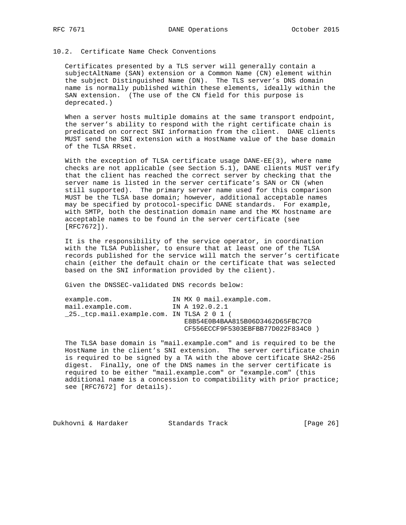# 10.2. Certificate Name Check Conventions

 Certificates presented by a TLS server will generally contain a subjectAltName (SAN) extension or a Common Name (CN) element within the subject Distinguished Name (DN). The TLS server's DNS domain name is normally published within these elements, ideally within the SAN extension. (The use of the CN field for this purpose is deprecated.)

When a server hosts multiple domains at the same transport endpoint, the server's ability to respond with the right certificate chain is predicated on correct SNI information from the client. DANE clients MUST send the SNI extension with a HostName value of the base domain of the TLSA RRset.

With the exception of TLSA certificate usage DANE-EE(3), where name checks are not applicable (see Section 5.1), DANE clients MUST verify that the client has reached the correct server by checking that the server name is listed in the server certificate's SAN or CN (when still supported). The primary server name used for this comparison MUST be the TLSA base domain; however, additional acceptable names may be specified by protocol-specific DANE standards. For example, with SMTP, both the destination domain name and the MX hostname are acceptable names to be found in the server certificate (see [RFC7672]).

 It is the responsibility of the service operator, in coordination with the TLSA Publisher, to ensure that at least one of the TLSA records published for the service will match the server's certificate chain (either the default chain or the certificate that was selected based on the SNI information provided by the client).

Given the DNSSEC-validated DNS records below:

| example.com.                              | IN MX 0 mail.example.com.         |  |
|-------------------------------------------|-----------------------------------|--|
| mail.example.com.                         | IN A 192.0.2.1                    |  |
| 25. tcp.mail.example.com. IN TLSA 2 0 1 ( |                                   |  |
|                                           | E8B54E0B4BAA815B06D3462D65FBC7C0  |  |
|                                           | CF556ECCF9F5303EBFBB77D022F834C0) |  |
|                                           |                                   |  |

 The TLSA base domain is "mail.example.com" and is required to be the HostName in the client's SNI extension. The server certificate chain is required to be signed by a TA with the above certificate SHA2-256 digest. Finally, one of the DNS names in the server certificate is required to be either "mail.example.com" or "example.com" (this additional name is a concession to compatibility with prior practice; see [RFC7672] for details).

Dukhovni & Hardaker Standards Track [Page 26]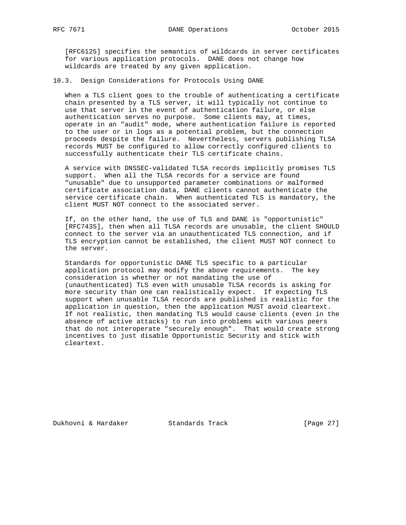[RFC6125] specifies the semantics of wildcards in server certificates for various application protocols. DANE does not change how wildcards are treated by any given application.

10.3. Design Considerations for Protocols Using DANE

 When a TLS client goes to the trouble of authenticating a certificate chain presented by a TLS server, it will typically not continue to use that server in the event of authentication failure, or else authentication serves no purpose. Some clients may, at times, operate in an "audit" mode, where authentication failure is reported to the user or in logs as a potential problem, but the connection proceeds despite the failure. Nevertheless, servers publishing TLSA records MUST be configured to allow correctly configured clients to successfully authenticate their TLS certificate chains.

 A service with DNSSEC-validated TLSA records implicitly promises TLS support. When all the TLSA records for a service are found "unusable" due to unsupported parameter combinations or malformed certificate association data, DANE clients cannot authenticate the service certificate chain. When authenticated TLS is mandatory, the client MUST NOT connect to the associated server.

 If, on the other hand, the use of TLS and DANE is "opportunistic" [RFC7435], then when all TLSA records are unusable, the client SHOULD connect to the server via an unauthenticated TLS connection, and if TLS encryption cannot be established, the client MUST NOT connect to the server.

 Standards for opportunistic DANE TLS specific to a particular application protocol may modify the above requirements. The key consideration is whether or not mandating the use of (unauthenticated) TLS even with unusable TLSA records is asking for more security than one can realistically expect. If expecting TLS support when unusable TLSA records are published is realistic for the application in question, then the application MUST avoid cleartext. If not realistic, then mandating TLS would cause clients (even in the absence of active attacks) to run into problems with various peers that do not interoperate "securely enough". That would create strong incentives to just disable Opportunistic Security and stick with cleartext.

Dukhovni & Hardaker Standards Track [Page 27]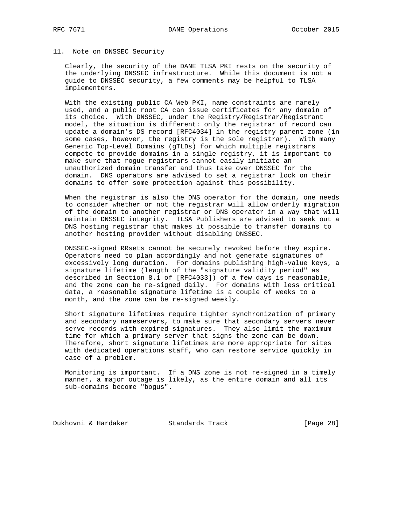#### 11. Note on DNSSEC Security

 Clearly, the security of the DANE TLSA PKI rests on the security of the underlying DNSSEC infrastructure. While this document is not a guide to DNSSEC security, a few comments may be helpful to TLSA implementers.

 With the existing public CA Web PKI, name constraints are rarely used, and a public root CA can issue certificates for any domain of its choice. With DNSSEC, under the Registry/Registrar/Registrant model, the situation is different: only the registrar of record can update a domain's DS record [RFC4034] in the registry parent zone (in some cases, however, the registry is the sole registrar). With many Generic Top-Level Domains (gTLDs) for which multiple registrars compete to provide domains in a single registry, it is important to make sure that rogue registrars cannot easily initiate an unauthorized domain transfer and thus take over DNSSEC for the domain. DNS operators are advised to set a registrar lock on their domains to offer some protection against this possibility.

 When the registrar is also the DNS operator for the domain, one needs to consider whether or not the registrar will allow orderly migration of the domain to another registrar or DNS operator in a way that will maintain DNSSEC integrity. TLSA Publishers are advised to seek out a DNS hosting registrar that makes it possible to transfer domains to another hosting provider without disabling DNSSEC.

 DNSSEC-signed RRsets cannot be securely revoked before they expire. Operators need to plan accordingly and not generate signatures of excessively long duration. For domains publishing high-value keys, a signature lifetime (length of the "signature validity period" as described in Section 8.1 of [RFC4033]) of a few days is reasonable, and the zone can be re-signed daily. For domains with less critical data, a reasonable signature lifetime is a couple of weeks to a month, and the zone can be re-signed weekly.

 Short signature lifetimes require tighter synchronization of primary and secondary nameservers, to make sure that secondary servers never serve records with expired signatures. They also limit the maximum time for which a primary server that signs the zone can be down. Therefore, short signature lifetimes are more appropriate for sites with dedicated operations staff, who can restore service quickly in case of a problem.

 Monitoring is important. If a DNS zone is not re-signed in a timely manner, a major outage is likely, as the entire domain and all its sub-domains become "bogus".

Dukhovni & Hardaker Standards Track [Page 28]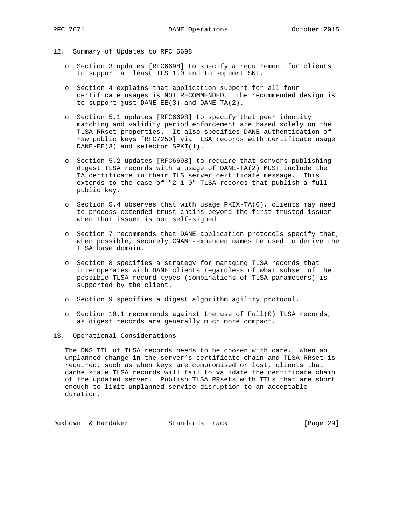- 12. Summary of Updates to RFC 6698
	- o Section 3 updates [RFC6698] to specify a requirement for clients to support at least TLS 1.0 and to support SNI.
	- o Section 4 explains that application support for all four certificate usages is NOT RECOMMENDED. The recommended design is to support just DANE-EE(3) and DANE-TA(2).
	- o Section 5.1 updates [RFC6698] to specify that peer identity matching and validity period enforcement are based solely on the TLSA RRset properties. It also specifies DANE authentication of raw public keys [RFC7250] via TLSA records with certificate usage DANE-EE(3) and selector SPKI(1).
	- o Section 5.2 updates [RFC6698] to require that servers publishing digest TLSA records with a usage of DANE-TA(2) MUST include the TA certificate in their TLS server certificate message. This extends to the case of "2 1 0" TLSA records that publish a full public key.
	- o Section 5.4 observes that with usage PKIX-TA(0), clients may need to process extended trust chains beyond the first trusted issuer when that issuer is not self-signed.
	- o Section 7 recommends that DANE application protocols specify that, when possible, securely CNAME-expanded names be used to derive the TLSA base domain.
	- o Section 8 specifies a strategy for managing TLSA records that interoperates with DANE clients regardless of what subset of the possible TLSA record types (combinations of TLSA parameters) is supported by the client.
	- o Section 9 specifies a digest algorithm agility protocol.
	- o Section 10.1 recommends against the use of Full(0) TLSA records, as digest records are generally much more compact.
- 13. Operational Considerations

 The DNS TTL of TLSA records needs to be chosen with care. When an unplanned change in the server's certificate chain and TLSA RRset is required, such as when keys are compromised or lost, clients that cache stale TLSA records will fail to validate the certificate chain of the updated server. Publish TLSA RRsets with TTLs that are short enough to limit unplanned service disruption to an acceptable duration.

Dukhovni & Hardaker Standards Track [Page 29]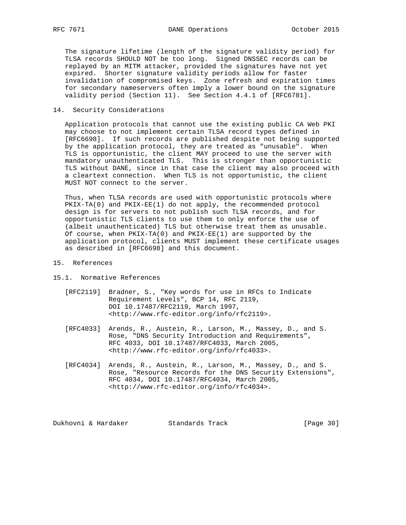The signature lifetime (length of the signature validity period) for TLSA records SHOULD NOT be too long. Signed DNSSEC records can be replayed by an MITM attacker, provided the signatures have not yet expired. Shorter signature validity periods allow for faster invalidation of compromised keys. Zone refresh and expiration times for secondary nameservers often imply a lower bound on the signature validity period (Section 11). See Section 4.4.1 of [RFC6781].

## 14. Security Considerations

 Application protocols that cannot use the existing public CA Web PKI may choose to not implement certain TLSA record types defined in [RFC6698]. If such records are published despite not being supported by the application protocol, they are treated as "unusable". When TLS is opportunistic, the client MAY proceed to use the server with mandatory unauthenticated TLS. This is stronger than opportunistic TLS without DANE, since in that case the client may also proceed with a cleartext connection. When TLS is not opportunistic, the client MUST NOT connect to the server.

 Thus, when TLSA records are used with opportunistic protocols where PKIX-TA(0) and PKIX-EE(1) do not apply, the recommended protocol design is for servers to not publish such TLSA records, and for opportunistic TLS clients to use them to only enforce the use of (albeit unauthenticated) TLS but otherwise treat them as unusable. Of course, when PKIX-TA(0) and PKIX-EE(1) are supported by the application protocol, clients MUST implement these certificate usages as described in [RFC6698] and this document.

- 15. References
- 15.1. Normative References
	- [RFC2119] Bradner, S., "Key words for use in RFCs to Indicate Requirement Levels", BCP 14, RFC 2119, DOI 10.17487/RFC2119, March 1997, <http://www.rfc-editor.org/info/rfc2119>.
	- [RFC4033] Arends, R., Austein, R., Larson, M., Massey, D., and S. Rose, "DNS Security Introduction and Requirements", RFC 4033, DOI 10.17487/RFC4033, March 2005, <http://www.rfc-editor.org/info/rfc4033>.
	- [RFC4034] Arends, R., Austein, R., Larson, M., Massey, D., and S. Rose, "Resource Records for the DNS Security Extensions", RFC 4034, DOI 10.17487/RFC4034, March 2005, <http://www.rfc-editor.org/info/rfc4034>.

Dukhovni & Hardaker Standards Track [Page 30]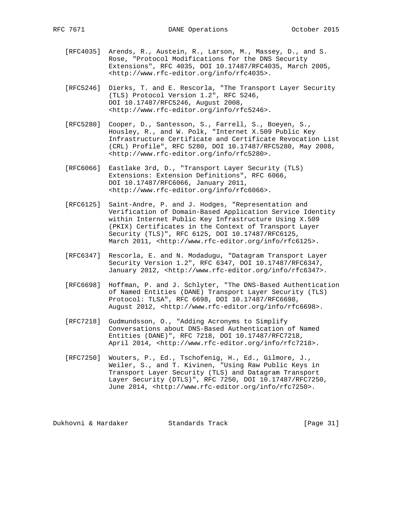- [RFC4035] Arends, R., Austein, R., Larson, M., Massey, D., and S. Rose, "Protocol Modifications for the DNS Security Extensions", RFC 4035, DOI 10.17487/RFC4035, March 2005, <http://www.rfc-editor.org/info/rfc4035>.
- [RFC5246] Dierks, T. and E. Rescorla, "The Transport Layer Security (TLS) Protocol Version 1.2", RFC 5246, DOI 10.17487/RFC5246, August 2008, <http://www.rfc-editor.org/info/rfc5246>.
- [RFC5280] Cooper, D., Santesson, S., Farrell, S., Boeyen, S., Housley, R., and W. Polk, "Internet X.509 Public Key Infrastructure Certificate and Certificate Revocation List (CRL) Profile", RFC 5280, DOI 10.17487/RFC5280, May 2008, <http://www.rfc-editor.org/info/rfc5280>.
- [RFC6066] Eastlake 3rd, D., "Transport Layer Security (TLS) Extensions: Extension Definitions", RFC 6066, DOI 10.17487/RFC6066, January 2011, <http://www.rfc-editor.org/info/rfc6066>.
- [RFC6125] Saint-Andre, P. and J. Hodges, "Representation and Verification of Domain-Based Application Service Identity within Internet Public Key Infrastructure Using X.509 (PKIX) Certificates in the Context of Transport Layer Security (TLS)", RFC 6125, DOI 10.17487/RFC6125, March 2011, <http://www.rfc-editor.org/info/rfc6125>.
- [RFC6347] Rescorla, E. and N. Modadugu, "Datagram Transport Layer Security Version 1.2", RFC 6347, DOI 10.17487/RFC6347, January 2012, <http://www.rfc-editor.org/info/rfc6347>.
- [RFC6698] Hoffman, P. and J. Schlyter, "The DNS-Based Authentication of Named Entities (DANE) Transport Layer Security (TLS) Protocol: TLSA", RFC 6698, DOI 10.17487/RFC6698, August 2012, <http://www.rfc-editor.org/info/rfc6698>.
- [RFC7218] Gudmundsson, O., "Adding Acronyms to Simplify Conversations about DNS-Based Authentication of Named Entities (DANE)", RFC 7218, DOI 10.17487/RFC7218, April 2014, <http://www.rfc-editor.org/info/rfc7218>.
- [RFC7250] Wouters, P., Ed., Tschofenig, H., Ed., Gilmore, J., Weiler, S., and T. Kivinen, "Using Raw Public Keys in Transport Layer Security (TLS) and Datagram Transport Layer Security (DTLS)", RFC 7250, DOI 10.17487/RFC7250, June 2014, <http://www.rfc-editor.org/info/rfc7250>.

Dukhovni & Hardaker Standards Track [Page 31]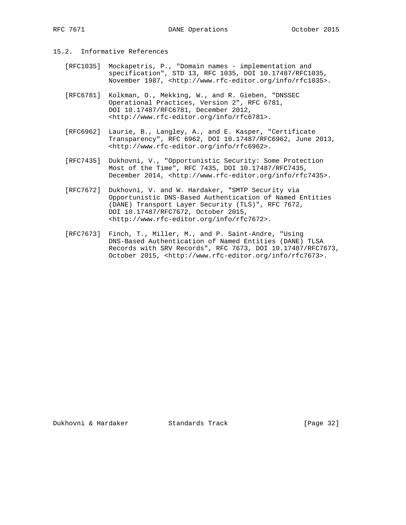# 15.2. Informative References

- [RFC1035] Mockapetris, P., "Domain names implementation and specification", STD 13, RFC 1035, DOI 10.17487/RFC1035, November 1987, <http://www.rfc-editor.org/info/rfc1035>.
- [RFC6781] Kolkman, O., Mekking, W., and R. Gieben, "DNSSEC Operational Practices, Version 2", RFC 6781, DOI 10.17487/RFC6781, December 2012, <http://www.rfc-editor.org/info/rfc6781>.
- [RFC6962] Laurie, B., Langley, A., and E. Kasper, "Certificate Transparency", RFC 6962, DOI 10.17487/RFC6962, June 2013, <http://www.rfc-editor.org/info/rfc6962>.
- [RFC7435] Dukhovni, V., "Opportunistic Security: Some Protection Most of the Time", RFC 7435, DOI 10.17487/RFC7435, December 2014, <http://www.rfc-editor.org/info/rfc7435>.
- [RFC7672] Dukhovni, V. and W. Hardaker, "SMTP Security via Opportunistic DNS-Based Authentication of Named Entities (DANE) Transport Layer Security (TLS)", RFC 7672, DOI 10.17487/RFC7672, October 2015, <http://www.rfc-editor.org/info/rfc7672>.
- [RFC7673] Finch, T., Miller, M., and P. Saint-Andre, "Using DNS-Based Authentication of Named Entities (DANE) TLSA Records with SRV Records", RFC 7673, DOI 10.17487/RFC7673, October 2015, <http://www.rfc-editor.org/info/rfc7673>.